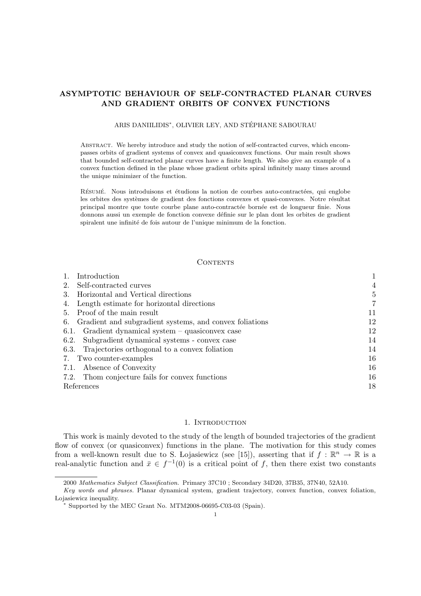# ASYMPTOTIC BEHAVIOUR OF SELF-CONTRACTED PLANAR CURVES AND GRADIENT ORBITS OF CONVEX FUNCTIONS

## ARIS DANIILIDIS<sup>∗</sup> , OLIVIER LEY, AND STEPHANE SABOURAU ´

Abstract. We hereby introduce and study the notion of self-contracted curves, which encompasses orbits of gradient systems of convex and quasiconvex functions. Our main result shows that bounded self-contracted planar curves have a finite length. We also give an example of a convex function defined in the plane whose gradient orbits spiral infinitely many times around the unique minimizer of the function.

RÉSUMÉ. Nous introduisons et étudions la notion de courbes auto-contractées, qui englobe les orbites des systèmes de gradient des fonctions convexes et quasi-convexes. Notre résultat principal montre que toute courbe plane auto-contractée bornée est de longueur finie. Nous donnons aussi un exemple de fonction convexe définie sur le plan dont les orbites de gradient spiralent une infinité de fois autour de l'unique minimum de la fonction.

#### CONTENTS

| Introduction                                               |    |
|------------------------------------------------------------|----|
| Self-contracted curves<br>2.                               | 4  |
| Horizontal and Vertical directions<br>3.                   | 5  |
| Length estimate for horizontal directions                  | 7  |
| 5. Proof of the main result                                | 11 |
| 6. Gradient and subgradient systems, and convex foliations | 12 |
| 6.1. Gradient dynamical system $-$ quasiconvex case        | 12 |
| Subgradient dynamical systems - convex case<br>6.2.        | 14 |
| 6.3. Trajectories orthogonal to a convex foliation         | 14 |
| 7. Two counter-examples                                    | 16 |
| 7.1. Absence of Convexity                                  | 16 |
| 7.2. Thom conjecture fails for convex functions            | 16 |
| References                                                 | 18 |

### 1. INTRODUCTION

This work is mainly devoted to the study of the length of bounded trajectories of the gradient flow of convex (or quasiconvex) functions in the plane. The motivation for this study comes from a well-known result due to S. Lojasiewicz (see [15]), asserting that if  $f : \mathbb{R}^n \to \mathbb{R}$  is a real-analytic function and  $\bar{x} \in f^{-1}(0)$  is a critical point of f, then there exist two constants

<sup>2000</sup> Mathematics Subject Classification. Primary 37C10 ; Secondary 34D20, 37B35, 37N40, 52A10.

Key words and phrases. Planar dynamical system, gradient trajectory, convex function, convex foliation, Lojasiewicz inequality.

Supported by the MEC Grant No. MTM2008-06695-C03-03 (Spain).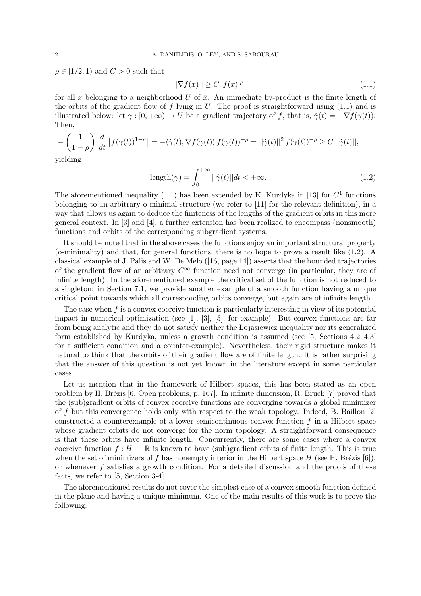$\rho \in [1/2, 1)$  and  $C > 0$  such that

$$
||\nabla f(x)|| \ge C |f(x)|^{\rho} \tag{1.1}
$$

for all x belonging to a neighborhood U of  $\bar{x}$ . An immediate by-product is the finite length of the orbits of the gradient flow of f lying in U. The proof is straightforward using  $(1.1)$  and is illustrated below: let  $\gamma : [0, +\infty) \to U$  be a gradient trajectory of f, that is,  $\dot{\gamma}(t) = -\nabla f(\gamma(t))$ . Then,

$$
-\left(\frac{1}{1-\rho}\right) \frac{d}{dt} \left[ f(\gamma(t))^{1-\rho} \right] = -\langle \dot{\gamma}(t), \nabla f(\gamma(t)) f(\gamma(t))^{-\rho} = ||\dot{\gamma}(t)||^2 f(\gamma(t))^{-\rho} \ge C \, ||\dot{\gamma}(t)||,
$$

yielding

$$
length(\gamma) = \int_0^{+\infty} ||\dot{\gamma}(t)||dt < +\infty.
$$
 (1.2)

The aforementioned inequality (1.1) has been extended by K. Kurdyka in [13] for  $C<sup>1</sup>$  functions belonging to an arbitrary o-minimal structure (we refer to [11] for the relevant definition), in a way that allows us again to deduce the finiteness of the lengths of the gradient orbits in this more general context. In [3] and [4], a further extension has been realized to encompass (nonsmooth) functions and orbits of the corresponding subgradient systems.

It should be noted that in the above cases the functions enjoy an important structural property (o-minimality) and that, for general functions, there is no hope to prove a result like (1.2). A classical example of J. Palis and W. De Melo ([16, page 14]) asserts that the bounded trajectories of the gradient flow of an arbitrary  $C^{\infty}$  function need not converge (in particular, they are of infinite length). In the aforementioned example the critical set of the function is not reduced to a singleton: in Section 7.1, we provide another example of a smooth function having a unique critical point towards which all corresponding orbits converge, but again are of infinite length.

The case when  $f$  is a convex coercive function is particularly interesting in view of its potential impact in numerical optimization (see  $[1]$ ,  $[3]$ ,  $[5]$ , for example). But convex functions are far from being analytic and they do not satisfy neither the Lojasiewicz inequality nor its generalized form established by Kurdyka, unless a growth condition is assumed (see [5, Sections 4.2–4.3] for a sufficient condition and a counter-example). Nevertheless, their rigid structure makes it natural to think that the orbits of their gradient flow are of finite length. It is rather surprising that the answer of this question is not yet known in the literature except in some particular cases.

Let us mention that in the framework of Hilbert spaces, this has been stated as an open problem by H. Brézis  $[6,$  Open problems, p. 167]. In infinite dimension, R. Bruck  $[7]$  proved that the (sub)gradient orbits of convex coercive functions are converging towards a global minimizer of f but this convergence holds only with respect to the weak topology. Indeed, B. Baillon [2] constructed a counterexample of a lower semicontinuous convex function  $f$  in a Hilbert space whose gradient orbits do not converge for the norm topology. A straightforward consequence is that these orbits have infinite length. Concurrently, there are some cases where a convex coercive function  $f : H \to \mathbb{R}$  is known to have (sub)gradient orbits of finite length. This is true when the set of minimizers of f has nonempty interior in the Hilbert space H (see H. Brézis [6]), or whenever  $f$  satisfies a growth condition. For a detailed discussion and the proofs of these facts, we refer to [5, Section 3-4].

The aforementioned results do not cover the simplest case of a convex smooth function defined in the plane and having a unique minimum. One of the main results of this work is to prove the following: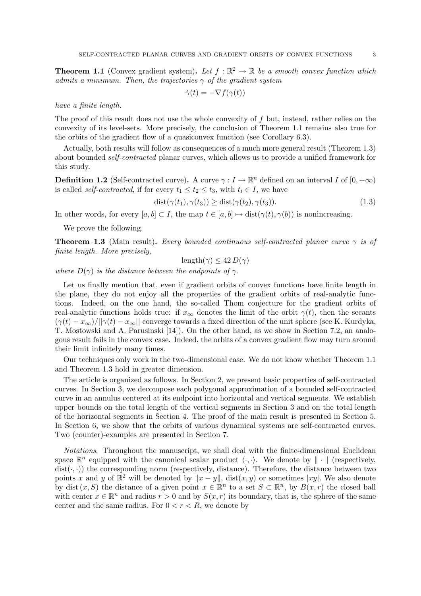**Theorem 1.1** (Convex gradient system). Let  $f : \mathbb{R}^2 \to \mathbb{R}$  be a smooth convex function which admits a minimum. Then, the trajectories  $\gamma$  of the gradient system

$$
\dot{\gamma}(t) = -\nabla f(\gamma(t))
$$

have a finite length.

The proof of this result does not use the whole convexity of  $f$  but, instead, rather relies on the convexity of its level-sets. More precisely, the conclusion of Theorem 1.1 remains also true for the orbits of the gradient flow of a quasiconvex function (see Corollary 6.3).

Actually, both results will follow as consequences of a much more general result (Theorem 1.3) about bounded self-contracted planar curves, which allows us to provide a unified framework for this study.

**Definition 1.2** (Self-contracted curve). A curve  $\gamma: I \to \mathbb{R}^n$  defined on an interval I of  $[0, +\infty)$ is called *self-contracted*, if for every  $t_1 \le t_2 \le t_3$ , with  $t_i \in I$ , we have

$$
dist(\gamma(t_1), \gamma(t_3)) \geq dist(\gamma(t_2), \gamma(t_3)).
$$
\n(1.3)

In other words, for every  $[a, b] \subset I$ , the map  $t \in [a, b] \mapsto \text{dist}(\gamma(t), \gamma(b))$  is nonincreasing.

We prove the following.

**Theorem 1.3** (Main result). Every bounded continuous self-contracted planar curve  $\gamma$  is of finite length. More precisely,

length( $\gamma$ )  $\leq 42 D(\gamma)$ 

where  $D(\gamma)$  is the distance between the endpoints of  $\gamma$ .

Let us finally mention that, even if gradient orbits of convex functions have finite length in the plane, they do not enjoy all the properties of the gradient orbits of real-analytic functions. Indeed, on the one hand, the so-called Thom conjecture for the gradient orbits of real-analytic functions holds true: if  $x_{\infty}$  denotes the limit of the orbit  $\gamma(t)$ , then the secants  $(\gamma(t) - x_{\infty})/||\gamma(t) - x_{\infty}||$  converge towards a fixed direction of the unit sphere (see K. Kurdyka, T. Mostowski and A. Parusinski [14]). On the other hand, as we show in Section 7.2, an analogous result fails in the convex case. Indeed, the orbits of a convex gradient flow may turn around their limit infinitely many times.

Our techniques only work in the two-dimensional case. We do not know whether Theorem 1.1 and Theorem 1.3 hold in greater dimension.

The article is organized as follows. In Section 2, we present basic properties of self-contracted curves. In Section 3, we decompose each polygonal approximation of a bounded self-contracted curve in an annulus centered at its endpoint into horizontal and vertical segments. We establish upper bounds on the total length of the vertical segments in Section 3 and on the total length of the horizontal segments in Section 4. The proof of the main result is presented in Section 5. In Section 6, we show that the orbits of various dynamical systems are self-contracted curves. Two (counter)-examples are presented in Section 7.

Notations. Throughout the manuscript, we shall deal with the finite-dimensional Euclidean space  $\mathbb{R}^n$  equipped with the canonical scalar product  $\langle \cdot, \cdot \rangle$ . We denote by  $\|\cdot\|$  (respectively,  $dist(\cdot, \cdot)$  the corresponding norm (respectively, distance). Therefore, the distance between two points x and y of  $\mathbb{R}^2$  will be denoted by  $||x - y||$ , dist $(x, y)$  or sometimes |xy|. We also denote by dist  $(x, S)$  the distance of a given point  $x \in \mathbb{R}^n$  to a set  $S \subset \mathbb{R}^n$ , by  $B(x, r)$  the closed ball with center  $x \in \mathbb{R}^n$  and radius  $r > 0$  and by  $S(x, r)$  its boundary, that is, the sphere of the same center and the same radius. For  $0 < r < R$ , we denote by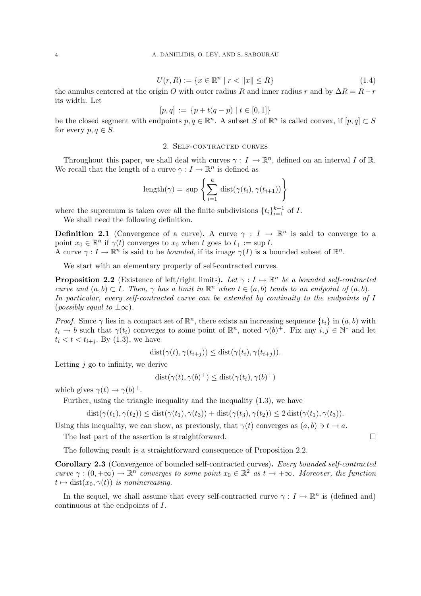$$
U(r, R) := \{ x \in \mathbb{R}^n \mid r < \|x\| \le R \} \tag{1.4}
$$

the annulus centered at the origin O with outer radius R and inner radius r and by  $\Delta R = R - r$ its width. Let

$$
[p,q] := \{ p + t(q-p) \mid t \in [0,1] \}
$$

be the closed segment with endpoints  $p, q \in \mathbb{R}^n$ . A subset S of  $\mathbb{R}^n$  is called convex, if  $[p,q] \subset S$ for every  $p, q \in S$ .

### 2. Self-contracted curves

Throughout this paper, we shall deal with curves  $\gamma: I \to \mathbb{R}^n$ , defined on an interval I of R. We recall that the length of a curve  $\gamma: I \to \mathbb{R}^n$  is defined as

length(
$$
\gamma
$$
) = sup  $\left\{ \sum_{i=1}^{k} \text{dist}(\gamma(t_i), \gamma(t_{i+1})) \right\}$ 

where the supremum is taken over all the finite subdivisions  $\{t_i\}_{i=1}^{k+1}$  of I.

We shall need the following definition.

**Definition 2.1** (Convergence of a curve). A curve  $\gamma : I \to \mathbb{R}^n$  is said to converge to a point  $x_0 \in \mathbb{R}^n$  if  $\gamma(t)$  converges to  $x_0$  when t goes to  $t_+ := \sup I$ .

A curve  $\gamma: I \to \mathbb{R}^n$  is said to be *bounded*, if its image  $\gamma(I)$  is a bounded subset of  $\mathbb{R}^n$ .

We start with an elementary property of self-contracted curves.

**Proposition 2.2** (Existence of left/right limits). Let  $\gamma : I \mapsto \mathbb{R}^n$  be a bounded self-contracted curve and  $(a, b) \subset I$ . Then,  $\gamma$  has a limit in  $\mathbb{R}^n$  when  $t \in (a, b)$  tends to an endpoint of  $(a, b)$ . In particular, every self-contracted curve can be extended by continuity to the endpoints of I  $(possibly equal to \pm \infty).$ 

*Proof.* Since  $\gamma$  lies in a compact set of  $\mathbb{R}^n$ , there exists an increasing sequence  $\{t_i\}$  in  $(a, b)$  with  $t_i \to b$  such that  $\gamma(t_i)$  converges to some point of  $\mathbb{R}^n$ , noted  $\gamma(b)^+$ . Fix any  $i, j \in \mathbb{N}^*$  and let  $t_i < t < t_{i+j}$ . By (1.3), we have

$$
dist(\gamma(t), \gamma(t_{i+j})) \leq dist(\gamma(t_i), \gamma(t_{i+j})).
$$

Letting  $j$  go to infinity, we derive

$$
dist(\gamma(t), \gamma(b)^+) \leq dist(\gamma(t_i), \gamma(b)^+)
$$

which gives  $\gamma(t) \to \gamma(b)^+$ .

Further, using the triangle inequality and the inequality (1.3), we have

$$
dist(\gamma(t_1), \gamma(t_2)) \leq dist(\gamma(t_1), \gamma(t_3)) + dist(\gamma(t_3), \gamma(t_2)) \leq 2 dist(\gamma(t_1), \gamma(t_3)).
$$

Using this inequality, we can show, as previously, that  $\gamma(t)$  converges as  $(a, b) \ni t \to a$ .

The last part of the assertion is straightforward.  $\Box$ 

The following result is a straightforward consequence of Proposition 2.2.

Corollary 2.3 (Convergence of bounded self-contracted curves). Every bounded self-contracted curve  $\gamma : (0, +\infty) \to \mathbb{R}^n$  converges to some point  $x_0 \in \mathbb{R}^2$  as  $t \to +\infty$ . Moreover, the function  $t \mapsto \text{dist}(x_0, \gamma(t))$  is nonincreasing.

In the sequel, we shall assume that every self-contracted curve  $\gamma : I \mapsto \mathbb{R}^n$  is (defined and) continuous at the endpoints of I.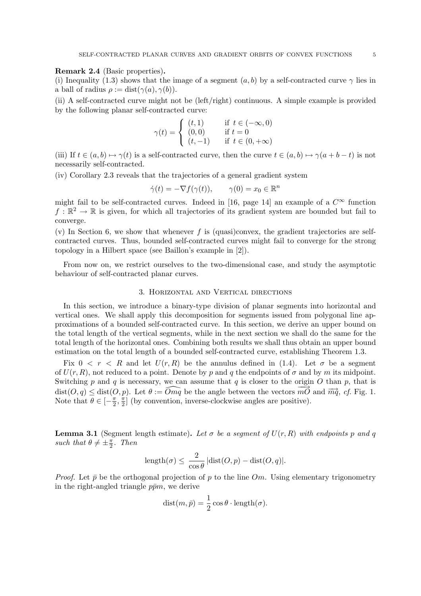#### Remark 2.4 (Basic properties).

(i) Inequality (1.3) shows that the image of a segment  $(a, b)$  by a self-contracted curve  $\gamma$  lies in a ball of radius  $\rho := \text{dist}(\gamma(a), \gamma(b)).$ 

(ii) A self-contracted curve might not be (left/right) continuous. A simple example is provided by the following planar self-contracted curve:

$$
\gamma(t) = \begin{cases} (t,1) & \text{if } t \in (-\infty, 0) \\ (0,0) & \text{if } t = 0 \\ (t,-1) & \text{if } t \in (0, +\infty) \end{cases}
$$

(iii) If  $t \in (a, b) \mapsto \gamma(t)$  is a self-contracted curve, then the curve  $t \in (a, b) \mapsto \gamma(a+b-t)$  is not necessarily self-contracted.

(iv) Corollary 2.3 reveals that the trajectories of a general gradient system

$$
\dot{\gamma}(t) = -\nabla f(\gamma(t)), \qquad \gamma(0) = x_0 \in \mathbb{R}^n
$$

might fail to be self-contracted curves. Indeed in [16, page 14] an example of a  $C^{\infty}$  function  $f : \mathbb{R}^2 \to \mathbb{R}$  is given, for which all trajectories of its gradient system are bounded but fail to converge.

 $(v)$  In Section 6, we show that whenever f is (quasi)convex, the gradient trajectories are selfcontracted curves. Thus, bounded self-contracted curves might fail to converge for the strong topology in a Hilbert space (see Baillon's example in [2]).

From now on, we restrict ourselves to the two-dimensional case, and study the asymptotic behaviour of self-contracted planar curves.

### 3. Horizontal and Vertical directions

In this section, we introduce a binary-type division of planar segments into horizontal and vertical ones. We shall apply this decomposition for segments issued from polygonal line approximations of a bounded self-contracted curve. In this section, we derive an upper bound on the total length of the vertical segments, while in the next section we shall do the same for the total length of the horizontal ones. Combining both results we shall thus obtain an upper bound estimation on the total length of a bounded self-contracted curve, establishing Theorem 1.3.

Fix  $0 \leq r \leq R$  and let  $U(r, R)$  be the annulus defined in (1.4). Let  $\sigma$  be a segment of  $U(r, R)$ , not reduced to a point. Denote by p and q the endpoints of  $\sigma$  and by m its midpoint. Switching p and q is necessary, we can assume that q is closer to the origin O than p, that is  $dist(O, q) \leq dist(O, p)$ . Let  $\theta := \widehat{Omq}$  be the angle between the vectors  $m\widehat{O}$  and  $\overline{mq}$ , cf. Fig. 1. Note that  $\theta \in \left[-\frac{\pi}{2}\right]$  $\frac{\pi}{2}, \frac{\pi}{2}$  $\frac{\pi}{2}$  (by convention, inverse-clockwise angles are positive).

**Lemma 3.1** (Segment length estimate). Let  $\sigma$  be a sequent of  $U(r, R)$  with endpoints p and q such that  $\theta \neq \pm \frac{\pi}{2}$  $\frac{\pi}{2}$ . Then

$$
length(\sigma) \le \frac{2}{\cos \theta} |dist(O, p) - dist(O, q)|.
$$

*Proof.* Let  $\bar{p}$  be the orthogonal projection of p to the line Om. Using elementary trigonometry in the right-angled triangle  $p\bar{p}m$ , we derive

$$
dist(m,\bar{p}) = \frac{1}{2}\cos\theta \cdot \text{length}(\sigma).
$$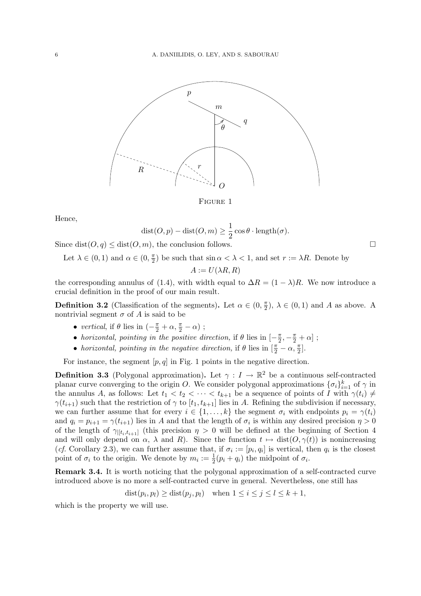

FIGURE 1

Hence,

$$
dist(O, p) - dist(O, m) \ge \frac{1}{2} \cos \theta \cdot \text{length}(\sigma).
$$

Since  $dist(O, q) \leq dist(O, m)$ , the conclusion follows.

Let  $\lambda \in (0,1)$  and  $\alpha \in (0,\frac{\pi}{2})$  $\frac{\pi}{2}$ ) be such that  $\sin \alpha < \lambda < 1$ , and set  $r := \lambda R$ . Denote by

$$
A := U(\lambda R, R)
$$

the corresponding annulus of (1.4), with width equal to  $\Delta R = (1 - \lambda)R$ . We now introduce a crucial definition in the proof of our main result.

**Definition 3.2** (Classification of the segments). Let  $\alpha \in (0, \frac{\pi}{2})$  $(\frac{\pi}{2}), \lambda \in (0,1)$  and A as above. A nontrivial segment  $\sigma$  of A is said to be

- vertical, if  $\theta$  lies in  $\left(-\frac{\pi}{2} + \alpha, \frac{\pi}{2} \alpha\right)$ ;
- horizontal, pointing in the positive direction, if  $\theta$  lies in  $\left[-\frac{\pi}{2}\right]$  $\frac{\pi}{2}, -\frac{\pi}{2} + \alpha]$ ;
- horizontal, pointing in the negative direction, if  $\theta$  lies in  $\left[\frac{\pi}{2} \alpha, \frac{\pi}{2}\right]$ .

For instance, the segment  $[p, q]$  in Fig. 1 points in the negative direction.

**Definition 3.3** (Polygonal approximation). Let  $\gamma: I \to \mathbb{R}^2$  be a continuous self-contracted planar curve converging to the origin O. We consider polygonal approximations  $\{\sigma_i\}_{i=1}^k$  of  $\gamma$  in the annulus A, as follows: Let  $t_1 < t_2 < \cdots < t_{k+1}$  be a sequence of points of I with  $\gamma(t_i) \neq$  $\gamma(t_{i+1})$  such that the restriction of  $\gamma$  to  $[t_1, t_{k+1}]$  lies in A. Refining the subdivision if necessary, we can further assume that for every  $i \in \{1, ..., k\}$  the segment  $\sigma_i$  with endpoints  $p_i = \gamma(t_i)$ and  $q_i = p_{i+1} = \gamma(t_{i+1})$  lies in A and that the length of  $\sigma_i$  is within any desired precision  $\eta > 0$ of the length of  $\gamma_{|[t_i,t_{i+1}]}$  (this precision  $\eta > 0$  will be defined at the beginning of Section 4 and will only depend on  $\alpha$ ,  $\lambda$  and R). Since the function  $t \mapsto \text{dist}(O, \gamma(t))$  is nonincreasing (cf. Corollary 2.3), we can further assume that, if  $\sigma_i := [p_i, q_i]$  is vertical, then  $q_i$  is the closest point of  $\sigma_i$  to the origin. We denote by  $m_i := \frac{1}{2}(p_i + q_i)$  the midpoint of  $\sigma_i$ .

Remark 3.4. It is worth noticing that the polygonal approximation of a self-contracted curve introduced above is no more a self-contracted curve in general. Nevertheless, one still has

$$
dist(p_i, p_l) \geq dist(p_j, p_l)
$$
 when  $1 \leq i \leq j \leq l \leq k+1$ ,

which is the property we will use.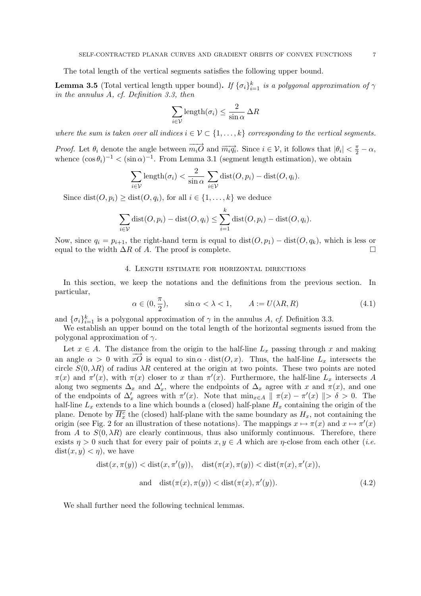The total length of the vertical segments satisfies the following upper bound.

**Lemma 3.5** (Total vertical length upper bound). If  ${\{\sigma_i\}}_{i=1}^k$  is a polygonal approximation of  $\gamma$ in the annulus A, cf. Definition 3.3, then

$$
\sum_{i \in \mathcal{V}} \text{length}(\sigma_i) \le \frac{2}{\sin \alpha} \Delta R
$$

where the sum is taken over all indices  $i \in \mathcal{V} \subset \{1, \ldots, k\}$  corresponding to the vertical segments.

*Proof.* Let  $\theta_i$  denote the angle between  $\overrightarrow{m_i \mathcal{O}}$  and  $\overrightarrow{m_i q_i}$ . Since  $i \in \mathcal{V}$ , it follows that  $|\theta_i| < \frac{\pi}{2} - \alpha$ , whence  $(\cos \theta_i)^{-1} < (\sin \alpha)^{-1}$ . From Lemma 3.1 (segment length estimation), we obtain

$$
\sum_{i \in \mathcal{V}} \text{length}(\sigma_i) < \frac{2}{\sin \alpha} \sum_{i \in \mathcal{V}} \text{dist}(O, p_i) - \text{dist}(O, q_i).
$$

Since dist $(O, p_i) \geq dist(O, q_i)$ , for all  $i \in \{1, ..., k\}$  we deduce

$$
\sum_{i \in \mathcal{V}} \text{dist}(O, p_i) - \text{dist}(O, q_i) \le \sum_{i=1}^k \text{dist}(O, p_i) - \text{dist}(O, q_i).
$$

Now, since  $q_i = p_{i+1}$ , the right-hand term is equal to  $dist(O, p_1) - dist(O, q_k)$ , which is less or equal to the width  $\Delta R$  of A. The proof is complete.  $\Box$ 

### 4. Length estimate for horizontal directions

In this section, we keep the notations and the definitions from the previous section. In particular,

$$
\alpha \in (0, \frac{\pi}{2}), \qquad \sin \alpha < \lambda < 1, \qquad A := U(\lambda R, R) \tag{4.1}
$$

and  $\{\sigma_i\}_{i=1}^k$  is a polygonal approximation of  $\gamma$  in the annulus A, cf. Definition 3.3.

We establish an upper bound on the total length of the horizontal segments issued from the polygonal approximation of  $\gamma$ .

Let  $x \in A$ . The distance from the origin to the half-line  $L_x$  passing through x and making an angle  $\alpha > 0$  with  $x\acute{O}$  is equal to  $\sin \alpha \cdot \text{dist}(O, x)$ . Thus, the half-line  $L_x$  intersects the circle  $S(0, \lambda R)$  of radius  $\lambda R$  centered at the origin at two points. These two points are noted  $\pi(x)$  and  $\pi'(x)$ , with  $\pi(x)$  closer to x than  $\pi'(x)$ . Furthermore, the half-line  $L_x$  intersects A along two segments  $\Delta_x$  and  $\Delta'_x$ , where the endpoints of  $\Delta_x$  agree with x and  $\pi(x)$ , and one of the endpoints of  $\Delta'_x$  agrees with  $\pi'(x)$ . Note that  $\min_{x \in A} || \pi(x) - \pi'(x) || > \delta > 0$ . The half-line  $L_x$  extends to a line which bounds a (closed) half-plane  $H_x$  containing the origin of the plane. Denote by  $\overline{H_x^c}$  the (closed) half-plane with the same boundary as  $H_x$ , not containing the origin (see Fig. 2 for an illustration of these notations). The mappings  $x \mapsto \pi(x)$  and  $x \mapsto \pi'(x)$ from A to  $S(0, \lambda R)$  are clearly continuous, thus also uniformly continuous. Therefore, there exists  $\eta > 0$  such that for every pair of points  $x, y \in A$  which are  $\eta$ -close from each other (*i.e.*)  $dist(x, y) < \eta$ , we have

$$
dist(x, \pi(y)) < dist(x, \pi'(y)), \quad dist(\pi(x), \pi(y)) < dist(\pi(x), \pi'(x)),
$$
\n
$$
and \quad dist(\pi(x), \pi(y)) < dist(\pi(x), \pi'(y)). \tag{4.2}
$$

We shall further need the following technical lemmas.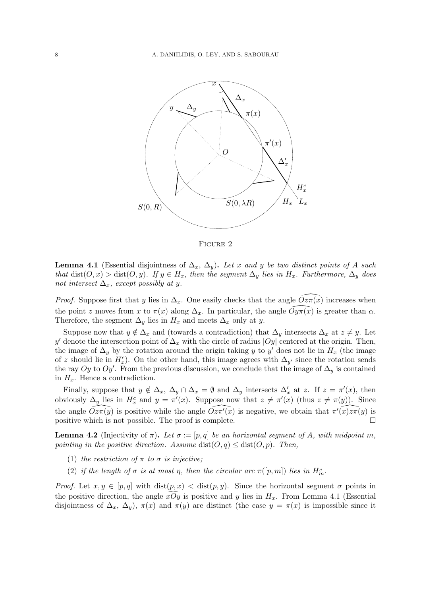

Figure 2

**Lemma 4.1** (Essential disjointness of  $\Delta_x$ ,  $\Delta_y$ ). Let x and y be two distinct points of A such that  $dist(O, x) > dist(O, y)$ . If  $y \in H_x$ , then the segment  $\Delta_y$  lies in  $H_x$ . Furthermore,  $\Delta_y$  does not intersect  $\Delta_x$ , except possibly at y.

*Proof.* Suppose first that y lies in  $\Delta_x$ . One easily checks that the angle  $Oz\pi(x)$  increases when the point z moves from x to  $\pi(x)$  along  $\Delta_x$ . In particular, the angle  $O(y\pi(x)$  is greater than  $\alpha$ . Therefore, the segment  $\Delta_y$  lies in  $H_x$  and meets  $\Delta_x$  only at y.

Suppose now that  $y \notin \Delta_x$  and (towards a contradiction) that  $\Delta_y$  intersects  $\Delta_x$  at  $z \neq y$ . Let y' denote the intersection point of  $\Delta_x$  with the circle of radius  $|Oy|$  centered at the origin. Then, the image of  $\Delta_y$  by the rotation around the origin taking y to y' does not lie in  $H_x$  (the image of z should lie in  $H_x^c$ ). On the other hand, this image agrees with  $\Delta_{y'}$  since the rotation sends the ray Oy to Oy'. From the previous discussion, we conclude that the image of  $\Delta_y$  is contained in  $H_x$ . Hence a contradiction.

Finally, suppose that  $y \notin \Delta_x$ ,  $\Delta_y \cap \Delta_x = \emptyset$  and  $\Delta_y$  intersects  $\Delta'_x$  at z. If  $z = \pi'(x)$ , then obviously  $\Delta_y$  lies in  $\overline{H_x^c}$  and  $y = \pi'(x)$ . Suppose now that  $z \neq \pi'(x)$  (thus  $z \neq \pi(y)$ ). Since the angle  $\widehat{Oz\pi(y)}$  is positive while the angle  $\widehat{Oz\pi'(x)}$  is negative, we obtain that  $\widehat{\pi'(x)z\pi(y)}$  is positive which is not possible. The proof is complete.  $\Box$ 

**Lemma 4.2** (Injectivity of  $\pi$ ). Let  $\sigma := [p, q]$  be an horizontal segment of A, with midpoint m, pointing in the positive direction. Assume  $dist(O, q) \leq dist(O, p)$ . Then,

- (1) the restriction of  $\pi$  to  $\sigma$  is injective;
- (2) if the length of  $\sigma$  is at most  $\eta$ , then the circular arc  $\pi([p,m])$  lies in  $\overline{H_{m}^{c}}$ .

*Proof.* Let  $x, y \in [p, q]$  with  $dist(p, x) < dist(p, y)$ . Since the horizontal segment  $\sigma$  points in the positive direction, the angle  $xOy$  is positive and y lies in  $H_x$ . From Lemma 4.1 (Essential disjointness of  $\Delta_x$ ,  $\Delta_y$ ),  $\pi(x)$  and  $\pi(y)$  are distinct (the case  $y = \pi(x)$  is impossible since it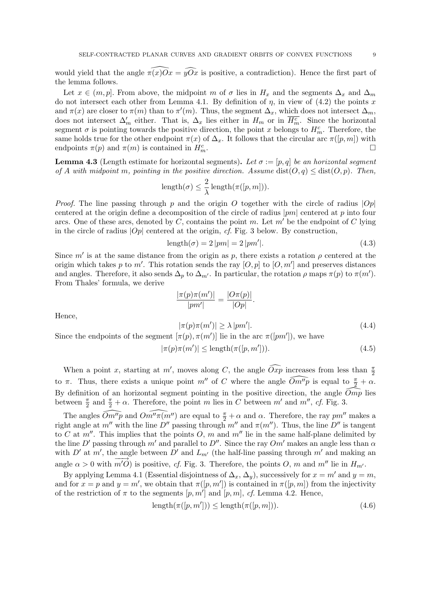would yield that the angle  $\pi(x)\overline{O}x = \widehat{yOx}$  is positive, a contradiction). Hence the first part of the lemma follows.

Let  $x \in (m, p]$ . From above, the midpoint m of  $\sigma$  lies in  $H_x$  and the segments  $\Delta_x$  and  $\Delta_m$ do not intersect each other from Lemma 4.1. By definition of  $\eta$ , in view of (4.2) the points x and  $\pi(x)$  are closer to  $\pi(m)$  than to  $\pi'(m)$ . Thus, the segment  $\Delta_x$ , which does not intersect  $\Delta_m$ , does not intersect  $\Delta'_m$  either. That is,  $\Delta_x$  lies either in  $H_m$  or in  $\overline{H_m^c}$ . Since the horizontal segment  $\sigma$  is pointing towards the positive direction, the point x belongs to  $H_m^c$ . Therefore, the same holds true for the other endpoint  $\pi(x)$  of  $\Delta_x$ . It follows that the circular arc  $\pi([p,m])$  with endpoints  $\pi(p)$  and  $\pi(m)$  is contained in  $H_m^c$ .  $\Box$   $m$ .

**Lemma 4.3** (Length estimate for horizontal segments). Let  $\sigma := [p, q]$  be an horizontal segment of A with midpoint m, pointing in the positive direction. Assume  $dist(O, q) \leq dist(O, p)$ . Then,

$$
\text{length}(\sigma) \leq \frac{2}{\lambda} \operatorname{length}(\pi([p, m])).
$$

*Proof.* The line passing through p and the origin O together with the circle of radius  $|Op|$ centered at the origin define a decomposition of the circle of radius  $|pm|$  centered at p into four arcs. One of these arcs, denoted by C, contains the point m. Let  $m'$  be the endpoint of C lying in the circle of radius  $|Op|$  centered at the origin, cf. Fig. 3 below. By construction,

$$
length(\sigma) = 2 |pm| = 2 |pm'|.
$$
\n(4.3)

Since m' is at the same distance from the origin as p, there exists a rotation  $\rho$  centered at the origin which takes p to m'. This rotation sends the ray  $[O, p]$  to  $[O, m']$  and preserves distances and angles. Therefore, it also sends  $\Delta_p$  to  $\Delta_{m'}$ . In particular, the rotation  $\rho$  maps  $\pi(p)$  to  $\pi(m')$ . From Thales' formula, we derive

$$
\frac{|\pi(p)\pi(m')|}{|pm'|} = \frac{|O\pi(p)|}{|Op|}.
$$

Hence,

$$
|\pi(p)\pi(m')| \ge \lambda |pm'|.
$$
\n(4.4)

Since the endpoints of the segment  $[\pi(p), \pi(m')]$  lie in the arc  $\pi([pm'])$ , we have

 $|\pi(p)\pi(m')| \leq \text{length}(\pi([p,m')))$  $(4.5)$ 

When a point x, starting at m', moves along C, the angle  $\widehat{Oxp}$  increases from less than  $\frac{\pi}{2}$ to  $\pi$ . Thus, there exists a unique point m'' of C where the angle  $\widehat{Om''p}$  is equal to  $\frac{\pi}{2} + \alpha$ . By definition of an horizontal segment pointing in the positive direction, the angle  $\widehat{Omp}$  lies between  $\frac{\pi}{2}$  and  $\frac{\pi}{2} + \alpha$ . Therefore, the point m lies in C between m' and m'', cf. Fig. 3.

The angles  $\widehat{Om''p}$  and  $\widehat{Om''\pi(m'')}$  are equal to  $\frac{\pi}{2} + \alpha$  and  $\alpha$ . Therefore, the ray  $pm''$  makes a right angle at m<sup>o</sup> with the line D<sup>o</sup> passing through m<sup>o</sup> and  $\pi(m'')$ . Thus, the line D<sup>o</sup> is tangent to C at  $m''$ . This implies that the points O, m and  $m''$  lie in the same half-plane delimited by the line D' passing through m' and parallel to D''. Since the ray  $Om'$  makes an angle less than  $\alpha$ with D' at m', the angle between D' and  $L_{m'}$  (the half-line passing through m' and making an angle  $\alpha > 0$  with  $m'O$  is positive, cf. Fig. 3. Therefore, the points O, m and  $m''$  lie in  $H_{m'}$ .

By applying Lemma 4.1 (Essential disjointness of  $\Delta_x$ ,  $\Delta_y$ ), successively for  $x = m'$  and  $y = m$ , and for  $x = p$  and  $y = m'$ , we obtain that  $\pi([p, m'])$  is contained in  $\pi([p, m])$  from the injectivity of the restriction of  $\pi$  to the segments  $[p, m']$  and  $[p, m]$ , cf. Lemma 4.2. Hence,

$$
length(\pi([p, m'])) \le length(\pi([p, m])). \tag{4.6})
$$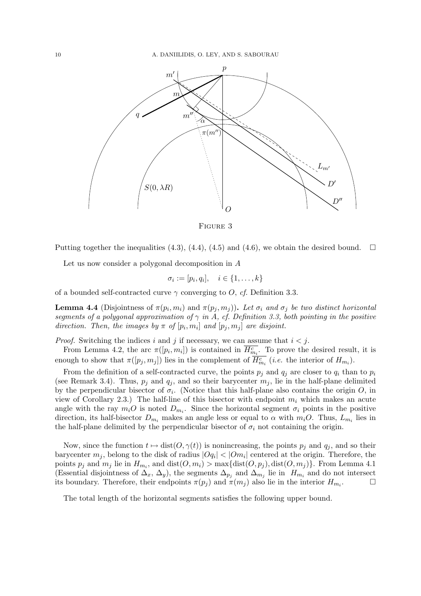

Figure 3

Putting together the inequalities (4.3), (4.4), (4.5) and (4.6), we obtain the desired bound.  $\Box$ 

Let us now consider a polygonal decomposition in A

$$
\sigma_i := [p_i, q_i], \quad i \in \{1, \ldots, k\}
$$

of a bounded self-contracted curve  $\gamma$  converging to O, cf. Definition 3.3.

**Lemma 4.4** (Disjointness of  $\pi(p_i, m_i)$  and  $\pi(p_j, m_j)$ ). Let  $\sigma_i$  and  $\sigma_j$  be two distinct horizontal segments of a polygonal approximation of  $\gamma$  in A, cf. Definition 3.3, both pointing in the positive direction. Then, the images by  $\pi$  of  $[p_i, m_i]$  and  $[p_j, m_j]$  are disjoint.

*Proof.* Switching the indices i and j if necessary, we can assume that  $i < j$ .

From Lemma 4.2, the arc  $\pi([p_i,m_i])$  is contained in  $\overline{H_{m_i}^c}$ . To prove the desired result, it is enough to show that  $\pi([p_j, m_j])$  lies in the complement of  $\overline{H_{m_i}^c}$  (*i.e.* the interior of  $H_{m_i}$ ).

From the definition of a self-contracted curve, the points  $p_j$  and  $q_j$  are closer to  $q_i$  than to  $p_i$ (see Remark 3.4). Thus,  $p_j$  and  $q_j$ , and so their barycenter  $m_j$ , lie in the half-plane delimited by the perpendicular bisector of  $\sigma_i$ . (Notice that this half-plane also contains the origin O, in view of Corollary 2.3.) The half-line of this bisector with endpoint  $m_i$  which makes an acute angle with the ray  $m_i$ O is noted  $D_{m_i}$ . Since the horizontal segment  $\sigma_i$  points in the positive direction, its half-bisector  $D_{m_i}$  makes an angle less or equal to  $\alpha$  with  $m_iO$ . Thus,  $L_{m_i}$  lies in the half-plane delimited by the perpendicular bisector of  $\sigma_i$  not containing the origin.

Now, since the function  $t \mapsto \text{dist}(O, \gamma(t))$  is nonincreasing, the points  $p_j$  and  $q_j$ , and so their barycenter  $m_j$ , belong to the disk of radius  $|Oq_i| < |Om_i|$  centered at the origin. Therefore, the points  $p_j$  and  $m_j$  lie in  $H_{m_i}$ , and  $dist(O, m_i) > max{dist(O, p_j)}, dist(O, m_j)$ . From Lemma 4.1 (Essential disjointness of  $\Delta_x$ ,  $\Delta_y$ ), the segments  $\Delta_{p_j}$  and  $\Delta_{m_j}$  lie in  $H_{m_i}$  and do not intersect its boundary. Therefore, their endpoints  $\pi(p_i)$  and  $\pi(m_i)$  also lie in the interior  $H_{m_i}$ .  $\Box$ 

The total length of the horizontal segments satisfies the following upper bound.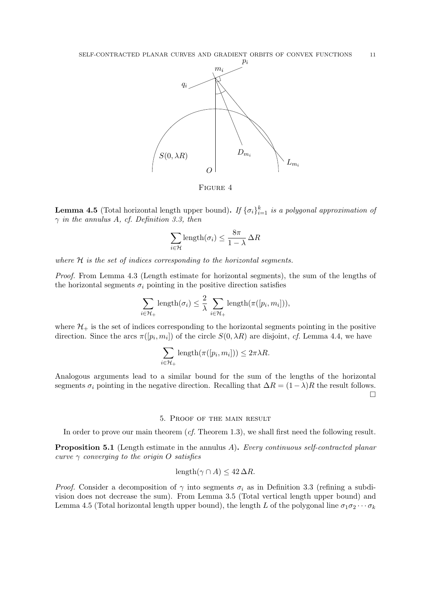

Figure 4

**Lemma 4.5** (Total horizontal length upper bound). If  ${\{\sigma_i\}}_{i=1}^k$  is a polygonal approximation of  $\gamma$  in the annulus A, cf. Definition 3.3, then

$$
\sum_{i \in \mathcal{H}} \text{length}(\sigma_i) \le \frac{8\pi}{1-\lambda} \Delta R
$$

where H is the set of indices corresponding to the horizontal segments.

Proof. From Lemma 4.3 (Length estimate for horizontal segments), the sum of the lengths of the horizontal segments  $\sigma_i$  pointing in the positive direction satisfies

$$
\sum_{i \in \mathcal{H}_{+}} \text{length}(\sigma_{i}) \leq \frac{2}{\lambda} \sum_{i \in \mathcal{H}_{+}} \text{length}(\pi([p_{i}, m_{i}])),
$$

where  $\mathcal{H}_+$  is the set of indices corresponding to the horizontal segments pointing in the positive direction. Since the arcs  $\pi([p_i, m_i])$  of the circle  $S(0, \lambda R)$  are disjoint, cf. Lemma 4.4, we have

$$
\sum_{i \in \mathcal{H}_+} \text{length}(\pi([p_i, m_i])) \leq 2\pi\lambda R.
$$

Analogous arguments lead to a similar bound for the sum of the lengths of the horizontal segments  $\sigma_i$  pointing in the negative direction. Recalling that  $\Delta R = (1-\lambda)R$  the result follows. ¤

#### 5. Proof of the main result

In order to prove our main theorem  $(cf.$  Theorem 1.3), we shall first need the following result.

Proposition 5.1 (Length estimate in the annulus A). Every continuous self-contracted planar curve  $\gamma$  converging to the origin O satisfies

$$
length(\gamma \cap A) \le 42 \,\Delta R.
$$

*Proof.* Consider a decomposition of  $\gamma$  into segments  $\sigma_i$  as in Definition 3.3 (refining a subdivision does not decrease the sum). From Lemma 3.5 (Total vertical length upper bound) and Lemma 4.5 (Total horizontal length upper bound), the length L of the polygonal line  $\sigma_1 \sigma_2 \cdots \sigma_k$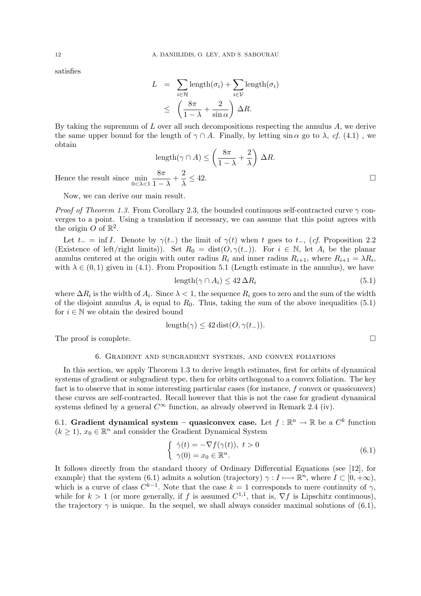satisfies

$$
L = \sum_{i \in \mathcal{H}} \text{length}(\sigma_i) + \sum_{i \in \mathcal{V}} \text{length}(\sigma_i)
$$
  

$$
\leq \left(\frac{8\pi}{1-\lambda} + \frac{2}{\sin \alpha}\right) \Delta R.
$$

By taking the supremum of  $L$  over all such decompositions respecting the annulus  $A$ , we derive the same upper bound for the length of  $\gamma \cap A$ . Finally, by letting sin  $\alpha$  go to  $\lambda$ , cf. (4.1), we obtain  $\overline{a}$  $\mathbf{r}$ 

length
$$
(\gamma \cap A)
$$
  $\leq \left(\frac{8\pi}{1-\lambda} + \frac{2}{\lambda}\right) \Delta R$ .  
 $\frac{8\pi}{\lambda} + \frac{2}{\lambda} \leq 42$ .

Hence the result since  $\min_{0 < \lambda < 1}$  $\frac{8\pi}{1-\lambda}+\frac{2}{\lambda}$ λ

Now, we can derive our main result.

*Proof of Theorem 1.3.* From Corollary 2.3, the bounded continuous self-contracted curve  $\gamma$  converges to a point. Using a translation if necessary, we can assume that this point agrees with the origin O of  $\mathbb{R}^2$ .

Let  $t_-=\inf I$ . Denote by  $\gamma(t_-)$  the limit of  $\gamma(t)$  when t goes to  $t_-,$  (cf. Proposition 2.2 (Existence of left/right limits)). Set  $R_0 = dist(O, \gamma(t_{-}))$ . For  $i \in \mathbb{N}$ , let  $A_i$  be the planar annulus centered at the origin with outer radius  $R_i$  and inner radius  $R_{i+1}$ , where  $R_{i+1} = \lambda R_i$ , with  $\lambda \in (0,1)$  given in (4.1). From Proposition 5.1 (Length estimate in the annulus), we have

$$
length(\gamma \cap A_i) \le 42 \,\Delta R_i \tag{5.1}
$$

where  $\Delta R_i$  is the width of  $A_i$ . Since  $\lambda < 1$ , the sequence  $R_i$  goes to zero and the sum of the width of the disjoint annulus  $A_i$  is equal to  $R_0$ . Thus, taking the sum of the above inequalities (5.1) for  $i \in \mathbb{N}$  we obtain the desired bound

$$
length(\gamma) \le 42 \text{ dist}(O, \gamma(t_{-})).
$$

The proof is complete.  $\Box$ 

#### 6. Gradient and subgradient systems, and convex foliations

In this section, we apply Theorem 1.3 to derive length estimates, first for orbits of dynamical systems of gradient or subgradient type, then for orbits orthogonal to a convex foliation. The key fact is to observe that in some interesting particular cases (for instance, f convex or quasiconvex) these curves are self-contracted. Recall however that this is not the case for gradient dynamical systems defined by a general  $C^{\infty}$  function, as already observed in Remark 2.4 (iv).

6.1. Gradient dynamical system – quasiconvex case. Let  $f : \mathbb{R}^n \to \mathbb{R}$  be a  $C^k$  function  $(k \geq 1)$ ,  $x_0 \in \mathbb{R}^n$  and consider the Gradient Dynamical System

$$
\begin{cases} \dot{\gamma}(t) = -\nabla f(\gamma(t)), \ t > 0 \\ \gamma(0) = x_0 \in \mathbb{R}^n. \end{cases}
$$
 (6.1)

It follows directly from the standard theory of Ordinary Differential Equations (see [12], for example) that the system (6.1) admits a solution (trajectory)  $\gamma : I \longmapsto \mathbb{R}^n$ , where  $I \subset [0, +\infty)$ , which is a curve of class  $C^{k-1}$ . Note that the case  $k = 1$  corresponds to mere continuity of  $\gamma$ , while for  $k > 1$  (or more generally, if f is assumed  $C^{1,1}$ , that is,  $\nabla f$  is Lipschitz continuous), the trajectory  $\gamma$  is unique. In the sequel, we shall always consider maximal solutions of (6.1),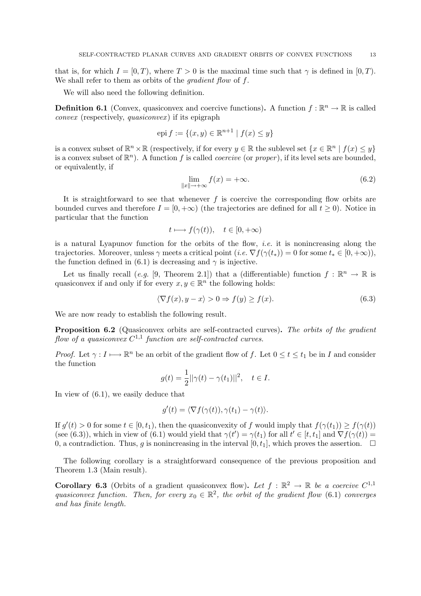that is, for which  $I = [0, T)$ , where  $T > 0$  is the maximal time such that  $\gamma$  is defined in  $[0, T)$ . We shall refer to them as orbits of the *gradient flow* of f.

We will also need the following definition.

**Definition 6.1** (Convex, quasiconvex and coercive functions). A function  $f : \mathbb{R}^n \to \mathbb{R}$  is called convex (respectively, *quasiconvex*) if its epigraph

$$
epi f := \{(x, y) \in \mathbb{R}^{n+1} \mid f(x) \le y\}
$$

is a convex subset of  $\mathbb{R}^n \times \mathbb{R}$  (respectively, if for every  $y \in \mathbb{R}$  the sublevel set  $\{x \in \mathbb{R}^n \mid f(x) \leq y\}$ is a convex subset of  $\mathbb{R}^n$ ). A function f is called *coercive* (or *proper*), if its level sets are bounded, or equivalently, if

$$
\lim_{\|x\| \to +\infty} f(x) = +\infty. \tag{6.2}
$$

It is straightforward to see that whenever  $f$  is coercive the corresponding flow orbits are bounded curves and therefore  $I = [0, +\infty)$  (the trajectories are defined for all  $t \ge 0$ ). Notice in particular that the function

$$
t \mapsto f(\gamma(t)), \quad t \in [0, +\infty)
$$

is a natural Lyapunov function for the orbits of the flow, *i.e.* it is nonincreasing along the trajectories. Moreover, unless  $\gamma$  meets a critical point  $(i.e. \nabla f(\gamma(t_*)) = 0$  for some  $t_* \in [0, +\infty)$ , the function defined in (6.1) is decreasing and  $\gamma$  is injective.

Let us finally recall (e.g. [9, Theorem 2.1]) that a (differentiable) function  $f : \mathbb{R}^n \to \mathbb{R}$  is quasiconvex if and only if for every  $x, y \in \mathbb{R}^n$  the following holds:

$$
\langle \nabla f(x), y - x \rangle > 0 \Rightarrow f(y) \ge f(x). \tag{6.3}
$$

We are now ready to establish the following result.

Proposition 6.2 (Quasiconvex orbits are self-contracted curves). The orbits of the gradient flow of a quasiconvex  $C^{1,1}$  function are self-contracted curves.

*Proof.* Let  $\gamma: I \longrightarrow \mathbb{R}^n$  be an orbit of the gradient flow of f. Let  $0 \le t \le t_1$  be in I and consider the function

$$
g(t) = \frac{1}{2} ||\gamma(t) - \gamma(t_1)||^2, \quad t \in I.
$$

In view of (6.1), we easily deduce that

$$
g'(t) = \langle \nabla f(\gamma(t)), \gamma(t_1) - \gamma(t) \rangle.
$$

If  $g'(t) > 0$  for some  $t \in [0, t_1)$ , then the quasiconvexity of f would imply that  $f(\gamma(t_1)) \ge f(\gamma(t))$ (see (6.3)), which in view of (6.1) would yield that  $\gamma(t') = \gamma(t_1)$  for all  $t' \in [t, t_1]$  and  $\nabla f(\gamma(t)) =$ 0, a contradiction. Thus, g is nonincreasing in the interval  $[0, t_1]$ , which proves the assertion.  $\Box$ 

The following corollary is a straightforward consequence of the previous proposition and Theorem 1.3 (Main result).

**Corollary 6.3** (Orbits of a gradient quasiconvex flow). Let  $f : \mathbb{R}^2 \to \mathbb{R}$  be a coercive  $C^{1,1}$ quasiconvex function. Then, for every  $x_0 \in \mathbb{R}^2$ , the orbit of the gradient flow (6.1) converges and has finite length.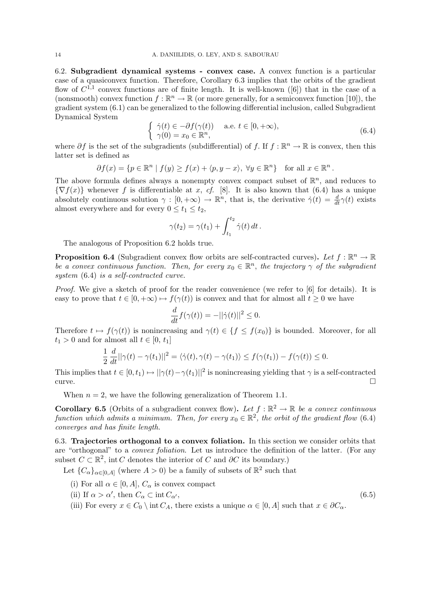6.2. Subgradient dynamical systems - convex case. A convex function is a particular case of a quasiconvex function. Therefore, Corollary 6.3 implies that the orbits of the gradient flow of  $C^{1,1}$  convex functions are of finite length. It is well-known ([6]) that in the case of a (nonsmooth) convex function  $f : \mathbb{R}^n \to \mathbb{R}$  (or more generally, for a semiconvex function [10]), the gradient system (6.1) can be generalized to the following differential inclusion, called Subgradient Dynamical System ½

$$
\dot{\gamma}(t) \in -\partial f(\gamma(t)) \quad \text{a.e. } t \in [0, +\infty), \n\gamma(0) = x_0 \in \mathbb{R}^n,
$$
\n(6.4)

where  $\partial f$  is the set of the subgradients (subdifferential) of f. If  $f : \mathbb{R}^n \to \mathbb{R}$  is convex, then this latter set is defined as

$$
\partial f(x) = \{ p \in \mathbb{R}^n \mid f(y) \ge f(x) + \langle p, y - x \rangle, \ \forall y \in \mathbb{R}^n \} \text{ for all } x \in \mathbb{R}^n.
$$

The above formula defines always a nonempty convex compact subset of  $\mathbb{R}^n$ , and reduces to  ${\nabla f(x)}$  whenever f is differentiable at x, cf. [8]. It is also known that (6.4) has a unique absolutely continuous solution  $\gamma : [0, +\infty) \to \mathbb{R}^n$ , that is, the derivative  $\dot{\gamma}(t) = \frac{d}{dt}\gamma(t)$  exists almost everywhere and for every  $0 \le t_1 \le t_2$ ,

$$
\gamma(t_2) = \gamma(t_1) + \int_{t_1}^{t_2} \dot{\gamma}(t) dt.
$$

The analogous of Proposition 6.2 holds true.

**Proposition 6.4** (Subgradient convex flow orbits are self-contracted curves). Let  $f : \mathbb{R}^n \to \mathbb{R}$ be a convex continuous function. Then, for every  $x_0 \in \mathbb{R}^n$ , the trajectory  $\gamma$  of the subgradient system (6.4) is a self-contracted curve.

Proof. We give a sketch of proof for the reader convenience (we refer to [6] for details). It is easy to prove that  $t \in [0, +\infty) \mapsto f(\gamma(t))$  is convex and that for almost all  $t > 0$  we have

$$
\frac{d}{dt}f(\gamma(t)) = -||\dot{\gamma}(t)||^2 \le 0.
$$

Therefore  $t \mapsto f(\gamma(t))$  is nonincreasing and  $\gamma(t) \in \{f \leq f(x_0)\}\$ is bounded. Moreover, for all  $t_1 > 0$  and for almost all  $t \in [0, t_1]$ 

$$
\frac{1}{2} \frac{d}{dt} ||\gamma(t) - \gamma(t_1)||^2 = \langle \dot{\gamma}(t), \gamma(t) - \gamma(t_1) \rangle \le f(\gamma(t_1)) - f(\gamma(t)) \le 0.
$$

This implies that  $t \in [0, t_1) \mapsto ||\gamma(t) - \gamma(t_1)||^2$  is nonincreasing yielding that  $\gamma$  is a self-contracted curve.  $\Box$ 

When  $n = 2$ , we have the following generalization of Theorem 1.1.

**Corollary 6.5** (Orbits of a subgradient convex flow). Let  $f : \mathbb{R}^2 \to \mathbb{R}$  be a convex continuous function which admits a minimum. Then, for every  $x_0 \in \mathbb{R}^2$ , the orbit of the gradient flow (6.4) converges and has finite length.

6.3. Trajectories orthogonal to a convex foliation. In this section we consider orbits that are "orthogonal" to a convex foliation. Let us introduce the definition of the latter. (For any subset  $C \subset \mathbb{R}^2$ , int C denotes the interior of C and  $\partial C$  its boundary.)

(6.5)

Let  ${C_\alpha}_{\alpha\in[0,A]}$  (where  $A>0$ ) be a family of subsets of  $\mathbb{R}^2$  such that

- (i) For all  $\alpha \in [0, A], C_{\alpha}$  is convex compact
- (ii) If  $\alpha > \alpha'$ , then  $C_{\alpha} \subset \text{int } C_{\alpha'}$ ,
- (iii) For every  $x \in C_0 \setminus \text{int } C_A$ , there exists a unique  $\alpha \in [0, A]$  such that  $x \in \partial C_\alpha$ .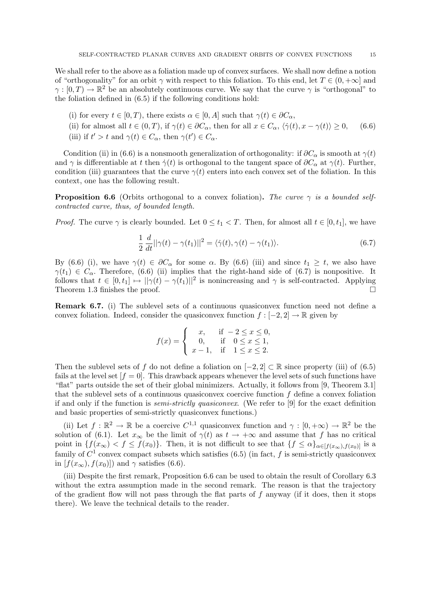We shall refer to the above as a foliation made up of convex surfaces. We shall now define a notion of "orthogonality" for an orbit  $\gamma$  with respect to this foliation. To this end, let  $T \in (0, +\infty]$  and  $\gamma:[0,T)\to\mathbb{R}^2$  be an absolutely continuous curve. We say that the curve  $\gamma$  is "orthogonal" to the foliation defined in (6.5) if the following conditions hold:

- (i) for every  $t \in [0, T)$ , there exists  $\alpha \in [0, A]$  such that  $\gamma(t) \in \partial C_{\alpha}$ ,
- (ii) for almost all  $t \in (0, T)$ , if  $\gamma(t) \in \partial C_{\alpha}$ , then for all  $x \in C_{\alpha}$ ,  $\langle \dot{\gamma}(t), x \gamma(t) \rangle \geq 0$ , (6.6)
- (iii) if  $t' > t$  and  $\gamma(t) \in C_\alpha$ , then  $\gamma(t') \in C_\alpha$ .

Condition (ii) in (6.6) is a nonsmooth generalization of orthogonality: if  $\partial C_{\alpha}$  is smooth at  $\gamma(t)$ and  $\gamma$  is differentiable at t then  $\dot{\gamma}(t)$  is orthogonal to the tangent space of  $\partial C_{\alpha}$  at  $\gamma(t)$ . Further, condition (iii) guarantees that the curve  $\gamma(t)$  enters into each convex set of the foliation. In this context, one has the following result.

**Proposition 6.6** (Orbits orthogonal to a convex foliation). The curve  $\gamma$  is a bounded selfcontracted curve, thus, of bounded length.

*Proof.* The curve  $\gamma$  is clearly bounded. Let  $0 \le t_1 < T$ . Then, for almost all  $t \in [0, t_1]$ , we have

$$
\frac{1}{2} \frac{d}{dt} ||\gamma(t) - \gamma(t_1)||^2 = \langle \dot{\gamma}(t), \gamma(t) - \gamma(t_1) \rangle.
$$
 (6.7)

By (6.6) (i), we have  $\gamma(t) \in \partial C_{\alpha}$  for some  $\alpha$ . By (6.6) (iii) and since  $t_1 \geq t$ , we also have  $\gamma(t_1) \in C_\alpha$ . Therefore, (6.6) (ii) implies that the right-hand side of (6.7) is nonpositive. It follows that  $t \in [0, t_1] \mapsto ||\gamma(t) - \gamma(t_1)||^2$  is nonincreasing and  $\gamma$  is self-contracted. Applying Theorem 1.3 finishes the proof.  $\Box$ 

Remark 6.7. (i) The sublevel sets of a continuous quasiconvex function need not define a convex foliation. Indeed, consider the quasiconvex function  $f : [-2, 2] \to \mathbb{R}$  given by

$$
f(x) = \begin{cases} x, & \text{if } -2 \le x \le 0, \\ 0, & \text{if } 0 \le x \le 1, \\ x - 1, & \text{if } 1 \le x \le 2. \end{cases}
$$

Then the sublevel sets of f do not define a foliation on  $[-2, 2] \subset \mathbb{R}$  since property (iii) of (6.5) fails at the level set  $[f = 0]$ . This drawback appears whenever the level sets of such functions have "flat" parts outside the set of their global minimizers. Actually, it follows from [9, Theorem 3.1] that the sublevel sets of a continuous quasiconvex coercive function  $f$  define a convex foliation if and only if the function is semi-strictly quasiconvex. (We refer to [9] for the exact definition and basic properties of semi-strictly quasiconvex functions.)

(ii) Let  $f : \mathbb{R}^2 \to \mathbb{R}$  be a coercive  $C^{1,1}$  quasiconvex function and  $\gamma : [0, +\infty) \to \mathbb{R}^2$  be the solution of (6.1). Let  $x_{\infty}$  be the limit of  $\gamma(t)$  as  $t \to +\infty$  and assume that f has no critical point in  $\{f(x_\infty) < f \leq f(x_0)\}\$ . Then, it is not difficult to see that  $\{f \leq \alpha\}_{\alpha \in [f(x_\infty), f(x_0)]}\}$  is a family of  $C^1$  convex compact subsets which satisfies (6.5) (in fact, f is semi-strictly quasiconvex in  $[f(x_\infty), f(x_0)]$  and  $\gamma$  satisfies (6.6).

(iii) Despite the first remark, Proposition 6.6 can be used to obtain the result of Corollary 6.3 without the extra assumption made in the second remark. The reason is that the trajectory of the gradient flow will not pass through the flat parts of  $f$  anyway (if it does, then it stops there). We leave the technical details to the reader.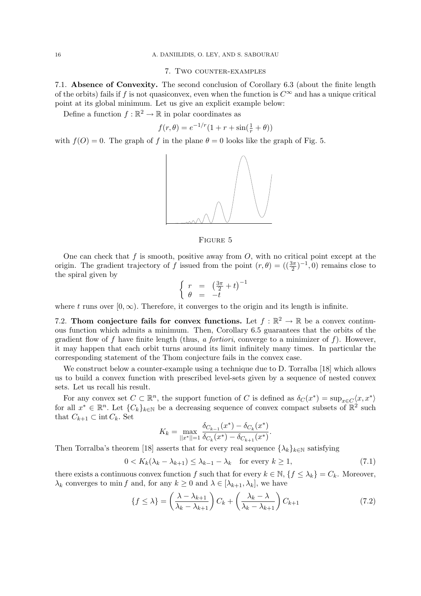#### 7. Two counter-examples

7.1. Absence of Convexity. The second conclusion of Corollary 6.3 (about the finite length of the orbits) fails if f is not quasiconvex, even when the function is  $C^{\infty}$  and has a unique critical point at its global minimum. Let us give an explicit example below:

Define a function  $f : \mathbb{R}^2 \to \mathbb{R}$  in polar coordinates as

$$
f(r, \theta) = e^{-1/r} (1 + r + \sin(\frac{1}{r} + \theta))
$$

with  $f(O) = 0$ . The graph of f in the plane  $\theta = 0$  looks like the graph of Fig. 5.



Figure 5

One can check that f is smooth, positive away from  $O$ , with no critical point except at the origin. The gradient trajectory of f issued from the point  $(r, \theta) = ((\frac{3\pi}{2})^{-1}, 0)$  remains close to the spiral given by ½

$$
\begin{cases} r = \left(\frac{3\pi}{2} + t\right)^{-1} \\ \theta = -t \end{cases}
$$

where t runs over  $[0, \infty)$ . Therefore, it converges to the origin and its length is infinite.

7.2. Thom conjecture fails for convex functions. Let  $f : \mathbb{R}^2 \to \mathbb{R}$  be a convex continuous function which admits a minimum. Then, Corollary 6.5 guarantees that the orbits of the gradient flow of f have finite length (thus, a fortiori, converge to a minimizer of f). However, it may happen that each orbit turns around its limit infinitely many times. In particular the corresponding statement of the Thom conjecture fails in the convex case.

We construct below a counter-example using a technique due to D. Torralba [18] which allows us to build a convex function with prescribed level-sets given by a sequence of nested convex sets. Let us recall his result.

For any convex set  $C \subset \mathbb{R}^n$ , the support function of C is defined as  $\delta_C(x^*) = \sup_{x \in C} \langle x, x^* \rangle$ for all  $x^* \in \mathbb{R}^n$ . Let  $\{C_k\}_{k\in\mathbb{N}}$  be a decreasing sequence of convex compact subsets of  $\mathbb{R}^2$  such that  $C_{k+1} \subset \text{int } C_k$ . Set

$$
K_k = \max_{||x^*||=1} \frac{\delta_{C_{k-1}}(x^*) - \delta_{C_k}(x^*)}{\delta_{C_k}(x^*) - \delta_{C_{k+1}}(x^*)}.
$$

Then Torralba's theorem [18] asserts that for every real sequence  $\{\lambda_k\}_{k\in\mathbb{N}}$  satisfying

$$
0 < K_k(\lambda_k - \lambda_{k+1}) \le \lambda_{k-1} - \lambda_k \quad \text{for every } k \ge 1,\tag{7.1}
$$

there exists a continuous convex function f such that for every  $k \in \mathbb{N}$ ,  $\{f \leq \lambda_k\} = C_k$ . Moreover,  $\lambda_k$  converges to min f and, for any  $k \geq 0$  and  $\lambda \in [\lambda_{k+1}, \lambda_k]$ , we have

$$
\{f \le \lambda\} = \left(\frac{\lambda - \lambda_{k+1}}{\lambda_k - \lambda_{k+1}}\right) C_k + \left(\frac{\lambda_k - \lambda}{\lambda_k - \lambda_{k+1}}\right) C_{k+1}
$$
\n(7.2)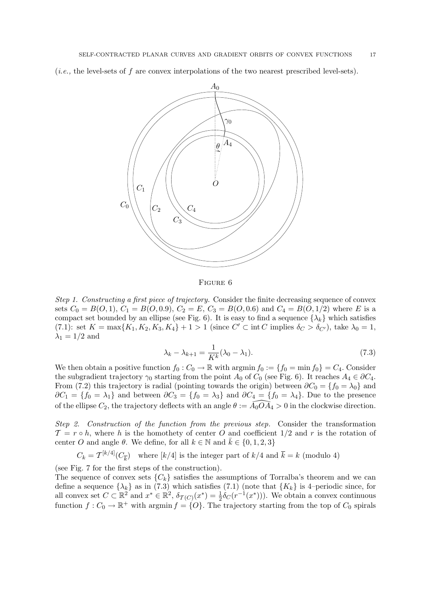(*i.e.*, the level-sets of f are convex interpolations of the two nearest prescribed level-sets).



Figure 6

Step 1. Constructing a first piece of trajectory. Consider the finite decreasing sequence of convex sets  $C_0 = B(0,1), C_1 = B(0,0.9), C_2 = E, C_3 = B(0,0.6)$  and  $C_4 = B(0,1/2)$  where E is a compact set bounded by an ellipse (see Fig. 6). It is easy to find a sequence  $\{\lambda_k\}$  which satisfies (7.1): set  $K = \max\{K_1, K_2, K_3, K_4\} + 1 > 1$  (since  $C' \subset \text{int } C$  implies  $\delta_C > \delta_{C'}$ ), take  $\lambda_0 = 1$ ,  $\lambda_1 = 1/2$  and

$$
\lambda_k - \lambda_{k+1} = \frac{1}{K^k} (\lambda_0 - \lambda_1). \tag{7.3}
$$

We then obtain a positive function  $f_0 : C_0 \to \mathbb{R}$  with argmin  $f_0 := \{f_0 = \min f_0\} = C_4$ . Consider the subgradient trajectory  $\gamma_0$  starting from the point  $A_0$  of  $C_0$  (see Fig. 6). It reaches  $A_4 \in \partial C_4$ . From (7.2) this trajectory is radial (pointing towards the origin) between  $\partial C_0 = \{f_0 = \lambda_0\}$  and  $\partial C_1 = \{f_0 = \lambda_1\}$  and between  $\partial C_3 = \{f_0 = \lambda_3\}$  and  $\partial C_4 = \{f_0 = \lambda_4\}$ . Due to the presence of the ellipse  $C_2$ , the trajectory deflects with an angle  $\theta := \widehat{A_0} \cdot \widehat{A_4} > 0$  in the clockwise direction.

Step 2. Construction of the function from the previous step. Consider the transformation  $\mathcal{T} = r \circ h$ , where h is the homothety of center O and coefficient  $1/2$  and r is the rotation of center O and angle  $\theta$ . We define, for all  $k \in \mathbb{N}$  and  $\bar{k} \in \{0, 1, 2, 3\}$ 

 $C_k = \mathcal{T}^{[k/4]}(C_{\overline{k}})$  where  $[k/4]$  is the integer part of  $k/4$  and  $\overline{k} = k$  (modulo 4)

(see Fig. 7 for the first steps of the construction).

The sequence of convex sets  $\{C_k\}$  satisfies the assumptions of Torralba's theorem and we can define a sequence  $\{\lambda_k\}$  as in (7.3) which satisfies (7.1) (note that  $\{K_k\}$  is 4–periodic since, for all convex set  $C \subset \mathbb{R}^2$  and  $x^* \in \mathbb{R}^2$ ,  $\delta_{\mathcal{T}(C)}(x^*) = \frac{1}{2}\delta_C(r^{-1}(x^*))$ . We obtain a convex continuous function  $f: C_0 \to \mathbb{R}^+$  with argmin  $f = \{O\}$ . The trajectory starting from the top of  $C_0$  spirals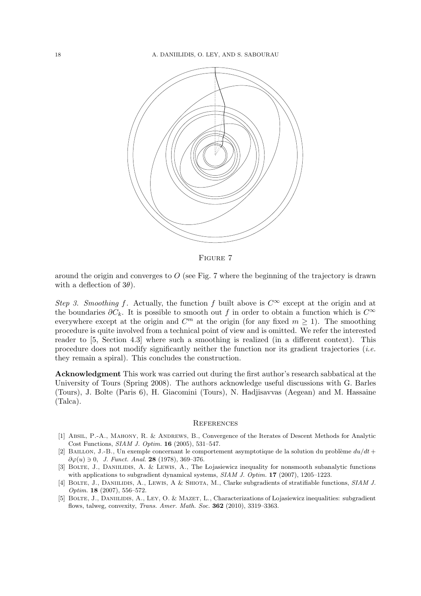

Figure 7

around the origin and converges to  $O$  (see Fig. 7 where the beginning of the trajectory is drawn with a deflection of  $3\theta$ ).

Step 3. Smoothing f. Actually, the function f built above is  $C^{\infty}$  except at the origin and at the boundaries  $\partial C_k$ . It is possible to smooth out f in order to obtain a function which is  $C^{\infty}$ everywhere except at the origin and  $C<sup>m</sup>$  at the origin (for any fixed  $m \ge 1$ ). The smoothing procedure is quite involved from a technical point of view and is omitted. We refer the interested reader to [5, Section 4.3] where such a smoothing is realized (in a different context). This procedure does not modify significantly neither the function nor its gradient trajectories (*i.e.*) they remain a spiral). This concludes the construction.

Acknowledgment This work was carried out during the first author's research sabbatical at the University of Tours (Spring 2008). The authors acknowledge useful discussions with G. Barles (Tours), J. Bolte (Paris 6), H. Giacomini (Tours), N. Hadjisavvas (Aegean) and M. Hassaine (Talca).

#### **REFERENCES**

- [1] Absil, P.-A., Mahony, R. & Andrews, B., Convergence of the Iterates of Descent Methods for Analytic Cost Functions, SIAM J. Optim. 16 (2005), 531–547.
- [2] BAILLON, J.-B., Un exemple concernant le comportement asymptotique de la solution du problème  $du/dt$  +  $\partial \varphi(u) \ni 0, J.$  Funct. Anal. 28 (1978), 369-376.
- [3] BOLTE, J., DANILIDIS, A. & LEWIS, A., The Lojasiewicz inequality for nonsmooth subanalytic functions with applications to subgradient dynamical systems, SIAM J. Optim. 17 (2007), 1205–1223.
- [4] BOLTE, J., DANIILIDIS, A., LEWIS, A & SHIOTA, M., Clarke subgradients of stratifiable functions, SIAM J. Optim. 18 (2007), 556–572.
- [5] BOLTE, J., DANIILIDIS, A., LEY, O. & MAZET, L., Characterizations of Lojasiewicz inequalities: subgradient flows, talweg, convexity, Trans. Amer. Math. Soc. 362 (2010), 3319–3363.